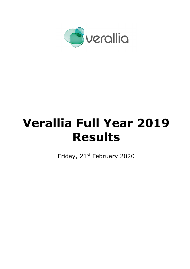

# **Verallia Full Year 2019 Results**

Friday, 21st February 2020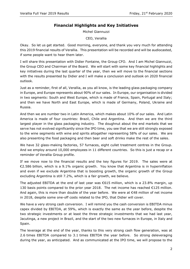# **Financial Highlights and Key Initiatives**

Michel Giannuzzi

CEO, Verallia

Okay. So let us get started. Good morning, everyone, and thank you very much for attending this 2019 financial results of Verallia. This presentation will be recorded and will be audiocasted, if some people want to hear them later.

I will share this presentation with Didier Fontaine, the Group CFO. And I am Michel Giannuzzi, the Group CEO and Chairman of the Board. We will start with some key financial highlights and key initiatives during the last quarter of the year, then we will move to the financial sections with the results presented by Didier and I will make a conclusion and outlook on 2020 financial outlook.

Just as a reminder, first of all, Verallia, as you all know, is the leading glass packaging company in Europe, and Europe represents about 90% of our sales. In Europe, our organisation is divided in two segments: South and West Europe, which is made of France, Spain, Portugal and Italy; and then we have North and East Europe, which is made of Germany, Poland, Ukraine and Russia.

And then we are number two in Latin America, which makes about 10% of our sales. And Latin America is made of four countries: Brazil, Chile and Argentina. And then we are the third largest player in the glass packaging industry. The doughnut about the end markets that we serve has not evolved significantly since the IPO time, you see that we are still strongly exposed to the wine segments with wine and spirits altogether representing 58% of our sales. We are also presenting the food packaging and then beer and soft drinks make the rest of the sales.

We have 32 glass-making factories, 57 furnaces, eight cullet treatment centres in the Group. And we employ around 10,000 employees in 11 different countries. So this is just a recap or a reminder of Verallia Group profile.

If we move now to the financial results and the key figures for 2019. The sales were at €2.586 billion, which is a 9.1% organic growth. You know that Argentina is in hyperinflation and even if we exclude Argentina that is boosting growth, the organic growth of the Group excluding Argentina is still 7.2%, which is a fair growth, we believe.

The adjusted EBITDA at the end of last year was  $\epsilon$ 615 million, which is a 23.8% margin, up 130 basis points compared to the prior year 2018. The net income has reached  $\epsilon$ 125 million. And again, this is more than double of the year before. We were at  $\epsilon$ 48 million of net income in 2018, despite some one-off costs related to the IPO, that Didier will cover.

We have a very strong cash conversion. I will remind you the cash conversion is EBITDA minus capex divided by EBITDA, at 59%, which is exactly the same as the year before, despite the two strategic investments or at least the three strategic investments that we had last year, Jacutinga, a new project in Brazil, and the start of the two new furnaces in Europe, in Italy and Spain.

The leverage at the end of the year, thanks to this very strong cash flow generation, was at 2.6 times EBITDA compared to 3.1 times EBITDA the year before. So strong deleveraging during the year, as anticipated. And as communicated at the IPO time, we will propose to the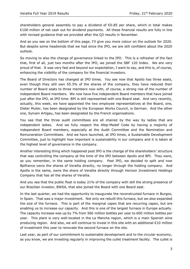shareholders general assembly to pay a dividend of  $\epsilon$ 0.85 per share, which in total makes €100 million of net cash out for dividend payments. All these financial results are fully in line with revised guidance that we provided after the Q3 results in November.

And as you see on the bottom of this page, I'll give you more colour on the outlook for 2020. But despite some headwinds that we had since the IPO, we are still confident about the 2020 outlook.

So moving to also the change of governance linked to the IPO. This is a refresher of the fact that, first of all, just two months after the IPO, we joined the SBF 120 Index. We are very proud of that. It was very fast and beyond our expectation, I want to say, and this is, of course, enhancing the visibility of the company for the financial investors.

The Board of Directors has changed at IPO times. You see now that Apollo has three seats, even though they still own 55.3% of the shares of the company, they have reduced their number of Board seats to three members now with, of course, a strong rise of the number of independent Board members. We now have five independent Board members that have joined just after the IPO, at IPO time. BPI is still represented with one Board seat. And very recently, actually, this week, we have appointed the two employee representatives at the Board, one, Dieter Muller, has been designated by the European Works Council, is German. And the other one, Sylvain Artigau, has been designated by the French organisations.

You see that the three audit committees are all chaired by the way by ladies that are independent ladies. And we fully respect the Afep-Medef Code by having a majority of independent Board members, especially at the Audit Committee and the Nomination and Remuneration Committees. And we have launched, at IPO times, a Sustainable Development Committee, just to highlight how important is sustainability in our company and it is taken at the highest level of governance in the company.

Another interesting thing which happened post IPO is the change of the shareholders' structure that was controlling the company at the time of the IPO between Apollo and BPI. They were, as you remember, in the same holding company. Post IPO, we decided to split and now Bpifrance owns the shares of Verallia directly, no longer through the holding company. And Apollo is the same, owns the share of Verallia directly through Horizon Investment Holdings Company that has all the shares of Verallia.

And you see that the public float is today 21% of the company with still the strong presence of our Brazilian investor, BWSA, that also joined the Board with one Board seat.

In the last quarter, we had the opportunity to inaugurate the reconstructed furnace in Burgos, in Spain. That was a major investment. Not only we rebuilt this furnace, but we also expanded the size of the furnace. This is part of the marginal capex that are recurring capex, but are enabling us to increase our capacity. And this is one of the largest furnace in Europe actually. The capacity increase was up by 7% from 560 million bottles per year to 600 million bottles per year. This plant is very well-located in the La Mancha region, which is a main Spanish wine producing region. And also, we will continue to invest in this site with an additional €10 million of investment this year to renovate the second furnace on the site.

Last year, as part of our commitment to sustainable development and to the circular economy, as you know, we are investing regularly in improving the cullet treatment facility. The cullet is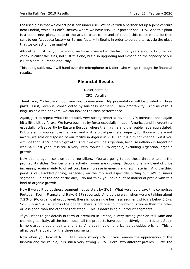the used glass that we collect post-consumer use. We have with a partner set up a joint venture near Madrid, which is Calcín Ibérico, where we have 49%, our partner has 51%. And this plant is a brand-new plant, state-of-the-art, to treat cullet and of course this cullet would be then sent to our Azuqueca factory or Burgos factory in Spain, in order to be able to recycle the glass that we collect on the market.

Altogether, just for you to know, we have invested in the last two years about €12.5 million capex in cullet facilities, not just this one, but also upgrading and expanding the capacity of our cullet plants in France and Italy.

This being said, now I will hand over the microphone to Didier, who will go through the financial results.

## **Financial Results**

Didier Fontaine

CFO, Verallia

Thank you, Michel, and good morning to everyone. My presentation will be divided in three parts. First, revenue, consolidated by business segment. Then profitability. And as cash is king, as said the bankers, we can look at the cash performance.

Again, just to repeat what Michel said, very strong reported revenue, 7% increase, once again hit a little bit by forex. We have been hit by forex especially in Latin America, and in Argentina especially, offset partly by Eastern Europe, where the hryvnia and the rouble have appreciated. But overall, if you remove the forex and a little bit of perimeter impact, for those who are not aware, we sold or disposed of our facility in Algeria in 2018, so it is a minor change, but if you exclude that, 9.1% organic growth. And if we exclude Argentina, because inflation in Argentina was 54% last year, it is still a very, very robust 7.2% organic, excluding Argentina, organic growth.

Now this is, again, split on our three pillars. You are going to see those three pillars in the profitability slides. Number one is activity: rooms are growing. Second one is a blend of price increases, again mainly to offset cost base increase in energy and raw material. And the third point is value-added pricing, especially on the mix and especially hitting our SWE business segment. So at the end of the day, I do not think you have a lot of industrial profile with this kind of organic growth.

Now if we split by business segment, let us start by SWE. What we should say, this comprises Portugal, Spain, France and Italy, 6.5% reported. And by the way, when we are talking about 7.2% or 9% organic at group level, there is not a single business segment which is below 6.5%. So 6.5% in SWE all across the board. There is not one country which is worse than the other or less good than the other at that stage. This is addressing all product segments.

If you want to get details in term of premium in France, a very strong year on still wine and champagne. Italy, all the businesses, all the products have been positively impacted and Spain is more around beers, spirits and jars. And again, volume, price, value-added pricing. This is all across the board for the three segments.

Now when you look at NEE. NEE, very strong 9%. If you remove the appreciation of the hryvnia and the rouble, it is still a very strong 7.6%. Here, two different profiles. First, the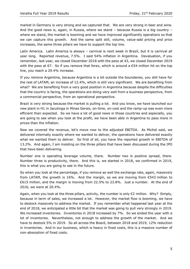market in Germany is very strong and we captured that. We are very strong in beer and wine. And the good news is, again, in Russia, where we stand – because Russia is a big country – where we stand, the market is booming and we have improved significantly operations so that we can capture this growth. And the same split still, volume, value-add pricing and price increases, the same three pillars we have to support the top line.

Latin America. Latin America is always – carnival is next week in Brazil, but it is carnival all year long. Reported revenue, 7.5%. I said 54% inflation in Argentina. Devaluation, if you remember, last year, we closed December 2018 with the peso at 43, we closed December 2019 with the peso at 67. So if you remove that forex, which is around a  $\epsilon$ 54 million hit on the top line, you reach a 29.4% increase.

If you remove Argentina, because Argentina is a bit outside the boundaries, you still have for the rest of LATAM, an increase of 12.4%, which is still very significant. We are benefiting from what? We are benefiting from a very good position in Argentina because despite the difficulties that the country is facing, the operations are doing very well from a business perspective, from a commercial perspective, from an operational perspective.

Brazil is very strong because the market is pulling a lot. And you know, we have launched our new plant in H1 in Jacutinga in Minas Gerais, on-time, on-cost and the ramp-up was even more efficient than expected. So we have a lot of good news in those countries and especially, you are going to see when you look at the profit, we have been able in Argentina to pass more in prices than the inflation.

Now we covered the revenue, let's move now to the adjusted EBITDA. As Michel said, we delivered internally exactly where we wanted to deliver, the operations have delivered exactly what we wanted them to deliver. So first of all, you have the reported growth in EBITDA of 13.2%. And again, I am insisting on the three pillars that have been discussed during the IPO that have been delivering.

Number one is operating leverage volume, there. Number two is positive spread, there. Number three is productivity, there. And this is, we started in 2018, we confirmed in 2019, this is what you are going to see in the future.

So when you look at the percentage, if you remove as well the exchange rate, again, massively from LATAM, the growth is 16%. And the margin, so we are moving from €543 million to €615 million, and the margin is moving from 22.5% to 23.8%. Just a number. At the end of 2016, we were at 20.4%.

Again, when you look at the three pillars, activity, the number is only  $\epsilon$ 2 million. Why? Simply, because in term of sales, we increased a lot. However, the market flow is booming, we have to destock massively to address the market. If you remember what happened last year at the end of 2018, we anticipated a little bit that the market was going to pull very strongly in 2019. We increased inventories. Inventories in 2018 increased by 7%. So we ended the year with a lot of inventories. Nevertheless, not enough to address the growth of the market. And we have to destock 5% in 2019. So all across the Board, between 2018 and 2019, 12% reduction in inventories. And in our business, which is heavy in fixed costs, this is a massive number of non-absorption of fixed costs.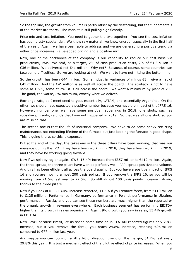So the top line, the growth from volume is partly offset by the destocking, but the fundamentals of the market are there. The market is still pulling significantly.

Price mix and cost inflation. You need to gather the two together. You see the cost inflation has been pretty substantial. We know raw material, we know energy, especially in the first half of the year. Again, we have been able to address and we are generating a positive trend via either price increases, value-added pricing and a positive mix.

Now, one of the backbones of the company is our capability to reduce our cost base via productivity, PAP. We said, as a target, 2% of cash production costs, 2% of €1.8 billion is €36 million. We delivered net €41 million. Why net? Because, of course, some countries can face some difficulties. So we are looking at net. We want to have net hitting the bottom line.

So the growth has been  $\epsilon$ 44 million. Some industrial variances of minus  $\epsilon$ 3m give a net of €41 million. And the  $€41$  million is as well all across the board. The strategy is not to have some at 1.5%, some at 2%, it is all across the board. We want a minimum by plant of 2%. The good, the worse, 2% minimum, exactly what we deliver.

Exchange rate, as I mentioned to you, essentially, LATAM, and essentially Argentina. On the other, we should have expected a positive number because you have the impact of the IFRS 16. However, number one, we have some positive happenings in 2018, one shots, such as subsidiary, grants, refunds that have not happened in 2019. So that was all one shot, so you are missing that.

The second one is that the life of industrial company. We have to do some heavy recurring maintenance, not extending lifetime of the furnace but just keeping the furnace in good shape. This is going there, so this is expense.

But at the end of the day, the takeaway is the three pillars have been working, that was our message during the IPO. They have been working in 2018, they have been working in 2019, and they have be working going forward.

Now if we split by region again. SWE, 15.4% increase from €357 million to €412 million. Again, the three spread, the three pillars have worked perfectly well. PAP, spread positive and volume. And this has been efficient all across the board again. But you have a positive impact of IFRS 16 and you are moving almost 200 basis points. If you remove the IFRS 16, so you will be moving from 21.6% last year to 22.5%. So still almost 100 basis points increase. Again, thanks to the three pillars.

Now if you look at NEE, 13.4% increase reported, 11.6% if you remove forex, from €110 million to €125 million. Performance in Germany, performance in Poland, performance in Ukraine, performance in Russia, and you can see those numbers are much higher than the reported or the organic growth in revenue everywhere. Each business segment has performing EBITDA higher than its growth in sales organically. Again, 9% growth you saw in sales, 13.4% growth in EBITDA.

Now Brazil because Brazil, let us spend some time on it. LATAM reported figures only 2.8% increase, but if you remove the forex, you reach 24.8% increase, reaching €96 million compared to €77 million last year.

And maybe you can focus on a little bit of disappointment on the margin, 31.2% last year, 29.8% this year. It is just a mechanic effect of the dilutive effect of price increases. When you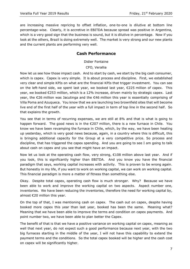are increasing massive repricing to offset inflation, one-to-one is dilutive at bottom line percentage-wise. Clearly, it is accretive in EBITDA because spread was positive in Argentina, which is a very good sign that the business is sound, but it is dilutive in percentage. Now if you look at the others, Brazil is doing extremely well. The market is very strong and our new plants and the current plants are performing very well.

## **Cash Performance**

Didier Fontaine

CFO, Verallia

Now let us see how those impact cash. And to start by cash, we start by the big cash consumer, which is capex. Capex is very simple. It is about process and discipline. First, we established very clear and simple KPIs on what are the financial KPIs that trigger investment. You can see on the left-hand side, we spent last year, we booked last year, €225 million of capex. This year, we booked €253 million, which is a 12% increase, driven mainly by strategic capex. Last year, the €26 million was Jacutinga and the €46 million this year is essentially comprising of Villa Poma and Azuqueca. You know that we are launching two brownfield sites that will become live end of the first half of the year with a full impact in term of top line in the second half. So that explains the growth.

You see that in terms of recurring expenses, we are still at 8% and that is what is going to happen forward. The good news is in the €207 million, there is a new furnace in Chile. You know we have been revamping the furnace in Chile, which, by the way, we have been heating up yesterday, which is very good news because, again, in a country where this is difficult, this is bringing additional capacity for the Group at a very competitive price. So process and discipline, that has triggered the capex spending. And you are going to see I am going to talk about cash on capex and you see that might have an impact.

Now let us look at the operating cash flow, very strong, €108 million above last year. And if you look, this is significantly higher than EBITDA. And you know you have the financial paradigm that says, working capital increases with activity. This is proven to be wrong again. But honestly in my life, if you want to work on working capital, we can work on working capital. This financial paradigm is more a matter of fitness than something else.

Okay. Despite total capex, operating cash flow is much stronger. Why? Because we have been able to work and improve the working capital on two aspects. Aspect number one, inventories. We have been reducing the inventories, therefore the need for working capital by, almost €20 million this year.

On the top of that, I was mentioning cash on capex. The cash out on capex, despite having booked more capex this year than last year, booked has been the same. Meaning what? Meaning that we have been able to improve the terms and condition on capex payments. And point number two, we have been able to plan better the Capex.

The benefit of that is that we have a positive variance on working capital on capex, meaning as well that next year, do not expect such a good performance because next year, with the two big furnaces starting in the middle of the year, I will not have this capability to extend the payment terms and the conditions. So the total capex booked will be higher and the cash cost on capex will be significantly higher.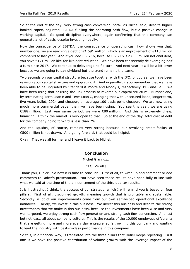So at the end of the day, very strong cash conversion, 59%, as Michel said, despite higher booked capex, adjusted EBITDA fuelling the operating cash flow, but a positive change in working capital. So good discipline everywhere, again confirming that this company can generate a lot of cash, despite investing heavily.

Now the consequence of EBITDA, the consequence of operating cash flow shows you that, number one, we are reaching a debt of  $\epsilon$ 1,591 million, which is an improvement of  $\epsilon$ 118 million compared to last year. And if you add IFRS 16, because IFRS 16 is a €53 million notional debt, you have €171 million like-for-like debt reduction. We have been consistently deleveraging half a turn since 2017. We continue to deleverage half a turn. And next year, it will be a bit lower because we are going to pay dividend but the trend remains the same.

Two seconds on our capital structure because together with the IPO, of course, we have been revisiting our capital structure and upgrading it. And in parallel, if you remember that we have been able to be upgraded by Standard & Poor's and Moody's, respectively, BB- and Ba3. We have been using that or using the IPO process to revamp our capital structure. Number one, by terminating Term Loan B and Term Loan C, changing that with unsecured loans, longer term, five years bullet, 2024 and cheaper, on average 100 basis point cheaper. We are now using much more commercial paper than we have been using. You see this year, we are using €188 million. Last year same period, we were €80 million. And this is extremely cheap financing. I think the market is very open to that. So at the end of the day, total cost of debt for the company going forward is less than 2%.

And the liquidity, of course, remains very strong because our revolving credit facility of €500 million is not drawn. And going forward, that could be helpful.

Okay. That was all for me, and I leave it back to Michel.

## **Conclusion**

#### Michel Giannuzzi

#### CEO, Verallia

Thank you, Didier. So now it is time to conclude. First of all, to wrap up and comment or add comments to Didier's presentation. You have seen these results have been fully in line with what we said at the time of the announcement of the third quarter results.

It is illustrating, I think, the success of our strategy, which I will remind you is based on four pillars. First of all, disciplined growth, meaning growth that is profitable and sustainable. Secondly, a lot of our improvements come from our own self-helped operational excellence initiatives. Thirdly, we invest in this business. We invest this business and despite the strong investments that we make in this business, because the investments have been wise and very well targeted, we enjoy strong cash flow generation and strong cash flow conversion. And last but not least, all about company culture. This is the results of the 10,000 employees of Verallia that are getting more and more every day entrepreneurial, owning this company and wanting to lead the industry with best-in-class performance in this company.

So this, in a financial way, is translated into the three pillars that Didier keeps repeating. First one is we have the positive contribution of volume growth with the leverage impact of the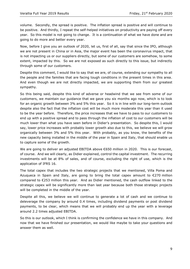volume. Secondly, the spread is positive. The inflation spread is positive and will continue to be positive. And thirdly, I repeat the self-helped initiatives on productivity are paying off every year. So this model is not going to change. It is a continuation of what we have done and are going to do more and better every year.

Now, before I give you an outlook of 2020, let us, first of all, say that since the IPO, although we are not present in China or in Asia, the major event has been the coronavirus impact, that is not impacting us or our suppliers directly, but some of our customers are somehow, to some extent, impacted by this. So we are not exposed as such directly to this issue, but indirectly through some of our customers.

Despite this comment, I would like to say that we are, of course, extending our sympathy to all the people and the families that are facing tough conditions in the present times in this area. And even though we are not directly impacted, we are supporting them from our greatest sympathy.

So this being said, despite this kind of adverse or headwind that we see from some of our customers, we maintain our guidance that we gave you six months ago now, which is to look for an organic growth between 3% and 5% this year. So it is in line with our long-term outlook despite also the fact that the inflation cost will be much more moderate this year than it used to be the year before. Therefore, the price increases that we have to pass to our customers to end up with a positive spread and to pass through the inflation of cost to our customers will be much lower than what you have seen before in Didier's presentation. So despite this, I would say, lower price increases with probably lower growth also due to this, we believe we will grow organically between 3% and 5% this year. With probably, as you know, the benefits of the new capacity being installed in the middle of the year in Spain and Italy, that should enable us to capture some of the growth.

We are going to deliver an adjusted EBITDA above €650 million in 2020. This is our forecast, of course. And we will clearly, as Didier explained, control the capital investment. The recurring investments will be at 8% of sales, and of course, excluding the right of use, which is the application of IFRS 16.

The total capex that includes the two strategic projects that we mentioned, Villa Poma and Azuqueca in Spain and Italy, are going to bring the total capex amount to  $\epsilon$ 270 million compared to €253 million this year. And as Didier mentioned, the cash outflow linked to the strategic capex will be significantly more than last year because both those strategic projects will be completed in the middle of the year.

Despite all this, we believe we will continue to generate a lot of cash and we continue to deleverage the company by around 0.4 times, including dividend payments or post dividend payments, to be clear, which means that we will probably end up the year with a leverage around 2.2 times adjusted EBITDA.

So this is our outlook, which I think is confirming the confidence we have in this company. And now that we have finished our presentation, we would like maybe to take your questions and answer them as well.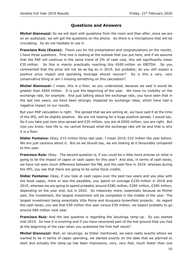### **Questions and Answers**

**Michel Giannuzzi:** So we will start with questions from the room and then after, since we are on an audiocast, we will get the questions on the phone. So there is a microphone that will be circulating. So do not hesitate to use it.

**Francisco Ruiz (Exane):** Thank you for the presentation and congratulations on the results. I have three questions. First one is looking at the outlook that you put here, and if we assume that the PAP will continue in the same trend of 2% of cash cost, this will significantly mean €35 million. So this is mainly practically reaching this €650 million on EBITDA. So you commented that the price will not be as big as in 2019, but probably, do you still expect a positive price impact and operating leverage should recover? So is this a very, very conservative thing or am I missing something on this calculation?

**Michel Giannuzzi:** I mean, this is a floor, as you understood, because we said it would be greater than €650 million. It is just the beginning of the year. We have no visibility on the exchange rate, for example. And just talking about the exchange rate, you have seen that in the last two years, we have been strongly impacted by exchange rates, which have had a negative impact on our results.

But your PAP calculation is right. The spread that we are aiming at, we have said it at the time of the IPO, will be slightly positive. We are not looking for a huge positive spread, I would say. So if you take just zero-plus spread and €35 million, you are at €650 million, you are right. But now you know, how life is, we cannot forecast what the exchange rate will be and that is why it is a floor.

**Didier Fontaine:** Okay, €15 million forex last year, I mean 2019, €32 million the year before. We are just cautious about it. But as we should say, we are looking at it favourably compared to this year.

**Francisco Ruiz:** Okay. The second question is, if you could be a little more precise on what is going to be the impact of capex or cash capex for this year? And also, in terms of cash taxes, we have not seen much difference between the P&L and the cash flow in 2019, whereas during the IPO, you see that there are going to be some fiscal credits.

**Didier Fontaine:** Okay, if you look at cash capex over the past two years and you play with the book capex, more or less the payables, you spend on average €230 million in 2018 and 2019, whereas we are going to spend probably around €280 million, €285 million, €290 million, depending on the year end, but in 2020. So massively more, essentially because as Michel said, the investment, the largest investment will be completed in the middle of the year. The largest investment being essentially Villa Poma and Azuqueca brownfield projects. As regard the cash taxes, you see that €59 million this year versus €39 million, we expect probably to go around €80 million next year.

**Francisco Ruiz:** And the last question is regarding the Jacutinga ramp-up. So you started mid-2019. So how it is evolving and if you have recovered part of the lost ground that you had at the beginning of the year when you published the first half result?

**Michel Giannuzzi:** Well, on Jacutinga, as Didier mentioned, we were really exactly where we wanted to be in terms of capex spending, we started exactly on the date that we planned to start and actually the ramp-up has been impressive, very, very fast, much faster than one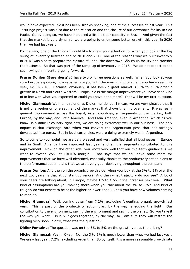would have expected. So it has been, frankly speaking, one of the successes of last year. This Jacutinga project was also due to the relocation and the closure of our downtown facility in São Paulo. So by doing so, we have increased a little bit our capacity in Brazil. And given the fact that the market is very dynamic, we are going to enjoy some better growth this year in 2020 than we had last year.

By the way, one of the things I would like to draw your attention to, when you look at the big swing of inventory between end of 2018 and 2019, one of the reasons why we built inventory in 2018 was also to prepare the closure of Fabe, the downtown São Paulo facility and transfer the business. So that was part of the ramp-up of inventory in 2018. We do not expect to see such swings in inventory going forward.

**Fraser Donlon (Berenberg):** I have two or three questions as well. When you look at your core Europe exposure, how satisfied are you with the margin improvement you have seen this year, ex-IFRS 16? Because, obviously, it has been a great market, 6.5% to 7.5% organic growth in North and South Western Europe. So is the margin improvement you have seen kind of in line with what you expected or could you have done more? That will be my first question.

**Michel Giannuzzi:** Well, on this one, as Didier mentioned, I mean, we are very pleased that it is not one region on one segment of the market that drove this improvement. It was really general improvement across the board, in all countries, all segments of the market, both Europe, by the way, and Latin America. And Latin America, even in Argentina, which as you know, is a difficult country right now, we are doing extremely well in our business. The only impact is that exchange rate when you convert the Argentinian peso that has strongly devaluated into euros. But in local currencies, we are doing extremely well in Argentina.

So to come to your point, we are very pleased and very satisfied that all businesses in Europe and in South America have improved last year and all the segments contributed to this improvement. Now on the other side, you know very well that our mid-term guidance is we want to exceed 25% of EBITDA margin. That says that we still have some room for improvements that we have well identified, especially thanks to the productivity action plans or the performance action plans that we are every year deploying throughout the company.

**Fraser Donlon:** And then on the organic growth side, when you look at the 3% to 5% over the next two years, is that at constant currency? And then what trajectory do you see? A lot of your peers are talking about, in Europe, maybe 1% to 1.5% price increases next year. What kind of assumptions are you making there when you talk about the 3% to 5%? And kind of roughly do you expect to be at the higher or lower end? I know you have new volumes coming to market.

**Michel Giannuzzi:** Well, coming down from 7.2%, excluding Argentina, organic growth last year. This is part of the productivity action plan, by the way, shedding the light. Our contribution to the environment, saving the environment and saving the planet. So you take it the way you want. Usually it goes together, by the way, so I am sure they will restore the lighting very soon. Sorry, what was the question?

**Didier Fontaine:** The question was on the 3% to 5% on the growth versus the pricing?

**Michel Giannuzzi:** Yeah. Okay. No, the 3 to 5% is much lower than what we had last year. We grew last year, 7.2%, excluding Argentina. So by itself, it is a more reasonable growth rate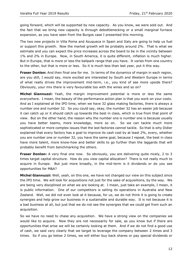going forward, which will be supported by new capacity. As you know, we were sold out. And the fact that we bring new capacity is through debottlenecking or a small marginal furnace expansion, as you have seen from the Burgos case I presented this morning.

The two new projects in Villa Poma and Azuqueca in Spain and Italy are going to help us fuel or support this growth. Now the market growth will be probably around 2%. That is what we estimate and you can expect the price increases across the board to be in the vicinity between 1% and 2% in Europe. Now, in South America, it is quite different, inflation is much higher. But in Europe, that is more or less the ballpark range that you have. It varies from one country to the other, but that is more or less. So it is much less than last year, put it this way.

**Fraser Donlon:** And then final one for me. In terms of the dynamics of margin in each region, are you still, I would say, more excited are interested by South and Western Europe in terms of what really drives the improvement mid-term, i.e., you kind of see more upside there? Obviously, your mix there is very favourable too with the wines and so on?

**Michel Giannuzzi:** Yeah, the margin improvement potential is more or less the same everywhere. I mean, the beauty of the performance action plan is that you work on your costs. And as I explained at the IPO time, when we have 32 glass making factories, there is always a number one and number 32. So you could say, okay, the number 32 has an easier job because it can catch up or it should catch up towards the best in class, which is true from that point of view. But on the other hand, the reason why the number one is number one is because usually you have better teams, more knowledge, more so on. So we can tackle much more sophisticated or more complex issues that the last factories cannot tackle. So that is why Didier explained that every factory has a goal to improve its cash cost by at least 2%, every, whether you are number one or number 32, you have the same goal, because I repeat, the best in class have more talent, more know-how and better skills to go further than the laggards that will probably benefit from benchmarking the others.

**Fraser Donlon:** A very final one now. So obviously, you are delivering quite nicely, 2 to 3 times target capital structure. How do you view capital allocation? There is not really much to acquire in Europe. But just more broadly, in the mid-term is it dividends or do you see opportunities for M&A?

**Michel Giannuzzi:** Well, yeah, on this one, we have not changed our view on this subject since the IPO time. We will look for acquisitions not just for the sake of acquisitions, by the way. We are being very disciplined on what we are looking at. I mean, just take an example, I mean, it is public information. One of our competitors is selling its operations in Australia and New Zealand. Well, we did not even look at it because, for us, we do not think it is going to create synergies and help grow our business in a sustainable and durable way. It is not because it is a bad business at all, but just that we do not see the synergies that we could get from such an acquisition.

So we have no need to chase any acquisition. We have a strong view on the companies we would like to acquire. Now they are not necessarily for sale, as you know but if there are opportunities that arise we will be certainly looking at them. And if we do not find a good use of cash, we said very clearly that we target to leverage the company between 2 times and 3 times. So if you go below 2 times, we will either buy back shares or pay special dividends or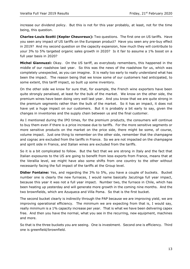increase our dividend policy. But this is not for this year probably, at least, not for the time being, this question.

**Charles-Louis Scotti (Kepler Cheuvreux):** Two questions. The first one on US tariffs. Have you seen any impact of US tariffs on the European product? Have you seen any pre-buy effect in 2019? And my second question on the capacity expansion, how much they will contribute to your 3% to 5% targeted organic sales growth in 2020? Is it fair to assume a 1% boost on a full year basis in 2020?

**Michel Giannuzzi:** Okay. On the US tariff, as everybody remembers, this happened in the middle of our roadshow last year. So this was the news of the roadshow for us, which was completely unexpected, as you can imagine. It is really too early to really understand what has been the impact. The reason being that we know some of our customers had anticipated, to some extent, this tariff impact, so built up some inventory.

On the other side we know for sure that, for example, the French wine exporters have been quite strongly penalised, at least for the bulk of the market. We know on the other side, the premium wines have been doing very well last year. And you know that we are quite strong in the premium segments rather than the bulk of the market. So it has an impact, it does not have yet a huge impact on our customers. But it is probably a bit early to say, given the changes in inventories and the supply chain between us and the final customer.

As I mentioned during the IPO times, for the premium products, the consumers will continue to buy them even if there is a price increase due to tariffs. For the more sensitive segments or more sensitive products on the market on the price side, there might be some, of course, volume impact. Just one thing to remember on the other side, remember that the champagne and cognac are excluded from the tariffs in France. So we are not impacted on the champagne and spirit side in France, and Italian wines are excluded from the tariffs.

So it is a bit complicated to follow. But the fact that we are strong in Italy and the fact that Italian exposures to the US are going to benefit from less exports from France, means that at the Verallia level, we might have also some shifts from one country to the other without necessarily facing the full impact of the tariffs at the Group level.

**Didier Fontaine:** Yes, and regarding the 3% to 5%, you have a couple of buckets. Bucket number one is clearly the new furnaces, I would name basically Jacutinga full year impact, because this year it was not a full year impact. Number two, the furnace in Chile, which has been heating up yesterday and will generate more growth in the coming nine months. And the two brownfields, which are Azuqueca and Villa Poma. So that is the first bucket.

The second bucket clearly is indirectly through the PAP because we are improving yield, we are improving operational efficiency. The minimum we are expecting from that is, I would say, really minimum is a 1% capacity increase per year. That is what we have been delivering capex free. And then you have the normal, what you see in the recurring, new equipment, machines and more.

So that is the three buckets you are seeing. One is investment. Second one is efficiency. Third one is greenfield/brownfield.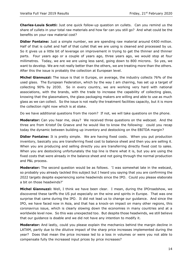**Charles-Louis Scotti:** Just one quick follow-up question on cullets. Can you remind us the share of cullets in your total raw materials and how far can you still go? And what could be the benefits on your raw material cost?

**Didier Fontaine:** Just a simple number, we are spending raw material around €400 million. Half of that is cullet and half of that cullet that we are using is cleaned and processed by us. So it gives us a little bit of leverage on improvement in trying to get the thinner and thinner parts. Four years ago or a couple of years ago, three years ago, we would stop at four millimetres. Today, we are we are using less sand, going down to 800 microns. So yes, we want to develop. We are not really better than the others, we are treating more than the others. After this the issue is probably the collection at European level.

**Michel Giannuzzi:** The issue is that in Europe, on average, the industry collects 76% of the used glass. The European Federation, which by the way I am chairing, has set up a target of collecting 90% by 2030. So in every country, we are working very hard with national associations, with the brands, with the trade to increase the capability of collecting glass, knowing that the glassmakers, the glass packaging makers are willing and able to use as much glass as we can collect. So the issue is not really the treatment facilities capacity, but it is more the collection right now which is at stake.

Do we have additional questions from the room? If not, we will take questions on the phone.

**Moderator:** Can you hear me, okay? We received three questions on the webcast. And the three are from Kristof De Graeve and he would like to know the following: could you recap today the dynamic between building up inventory and destocking on the EBITDA margin?

**Didier Fontaine:** It is pretty simple. We are having fixed costs. When you put production inventory, basically you are transferring fixed cost to balance sheet and then you are selling it. When you are producing and selling directly you are transferring directly fixed cost to sales. When you are destocking unfortunately the top line is there what it is, but you are using the fixed costs that were already in the balance sheet and not going through the normal production and P&L process.

**Moderator:** The second question would be as follows. 'I was somewhat late in the webcast, so probably you already tackled this subject but I heard you saying that you are confirming the 2022 targets despite experiencing some headwinds since the IPO. Could you please elaborate a bit on those headwinds?'

**Michel Giannuzzi:** Well, I think we have been clear. I mean, during the IPOroadshow, we discovered these tariffs the US put especially on the wine and spirits in Europe. That was one surprise that came during the IPO. It did not lead us to change our guidance. And since the IPO, we have faced now in Asia, and that has a knock-on impact on many other regions, this coronavirus issue, which is clearly slowing down the economies in many countries and at a worldwide level now. So this was unexpected too. But despite those headwinds, we still believe that our guidance is doable and we did not have any intention to modify it.

**Moderator:** And lastly, could you please explain the mechanics behind the margin decline in LATAM, partly due to the dilutive impact of the sharp price increases implemented during the year? Does that mean the price increase led to a loss in volumes or were you not able to compensate fully the increased input prices by price increases?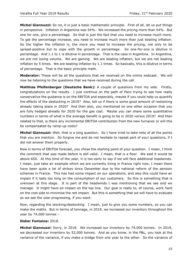**Michel Giannuzzi:** So no, it is just a basic mathematic principle. First of all, let us put things in perspective. Inflation in Argentina was 54%. We increased the pricing more than 54%. But one for one, give a percentage. So that is just the fact that you need to increase much more. To get the percentage increase, you need to increase much more than just beating inflation. So the higher the inflation is, the more you need to increase the pricing, not only to be spread-positive but to cope with the growth in percentage. So one-for-one is dilutive in percentage. And 1.1 to 1 is dilutive in percentage. That is the case in Argentina. In Argentina, we are not losing volume. We are gaining. We are beating inflation, but we are not beating inflation by 5 times. We are beating inflation by 1.1 times. So basically, this is dilutive in terms of percentage. That is the basic principle math.

**Moderator:** Those will be all the questions that we received on the online webcast. We will now be listening to the questions that we have received during the call.

**Matthias Pfeifenberger (Deutsche Bank):** A couple of questions from my side. Firstly, congratulations on the results. I just continue on the path of Paco trying to see how really conservative the guidance is on the EBITDA and especially, maybe if you could help us quantify the effects of the destocking in 2019? Also, tell us if there is some good amount of restocking already taking place in 2020? And then also, you mentioned on one other occasion that you are fully hedged already for 2020 for the gas cost. Maybe you can share some quantitative numbers in terms of what is the average benefit is going to be in 2020 versus 2019? And then related to that, is there any incremental EBITDA contribution from the new furnaces or will this be compensated by ramp-up costs?

**Michel Giannuzzi:** Well, that is a long question. So I have tried to take note of all the points that you are mention. So forgive me and do not hesitate to repeat part of your questions, if I did not answer them properly.

Now in terms of EBITDA forecast, you chose the starting point of your question. I mean, I think the comment that was made before is still valid. I mean, that is a floor. We said it would be above 650. At this time of the year, it is too early to say if we will face additional headwinds. I mean, just take an example which we are currently living in France right now, I mean there have been quite a lot of strikes since December due to the national reform of the pension schemes in France. This has had some impact on our operations, and also this could have an impact if it lasts too long on the consumption of our customers. So this is something that is unknown at this stage. It is part of the headwinds I was mentioning that we see and we manage. It might have an impact on the top line. Our goal is really to, of course, work hard on the cost side to minimise the net impact. But this is something that we will have to evaluate as we see the year progressing, if you want.

Now, regarding the stocking/destocking. I mean, just to give you some numbers, so you can make the maths. But in terms of tonnage, in 2019, we increased our inventory throughout the year by 74,000 tonnes –

#### **Didier Fontaine:** 2018.

**Michel Giannuzzi:** Sorry, in 2018. We increased our inventory by 74,000 tonnes. In 2019, we decreased our inventory by 52,000 tonnes. And as you know, in the P&L, you look at the variance of the variance, if you make a bridge from one year to the other. So the variance of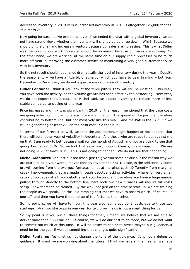decreased inventory in 2019 versus increased inventory in 2018 is altogether 126,000 tonnes. It is massive.

Now going forward, as we explained, even if we ended the year with a global inventory, we do not have strong views whether the inventory will slightly go up or go down. Why? Because we should on the one hand increase inventory because our sales are increasing. This is what Didier was mentioning, our working capital should be increased because our sales are growing. On the other hand, we are working, at the same time on our supply chain processes to be much more efficient in improving the customer service or maintaining a very good customer service with less inventory.

So the net result should not change dramatically the level of inventory during the year. Despite the seasonality – we have a little bit of synergy, which you have to bear in mind – but from December to December, we do not expect a major change of inventory.

**Didier Fontaine:** I think if you look at the three pillars, they will still be existing. This year, you have seen the activity, so the volume growth has been offset by the destocking. Next year, we do not expect that, because as Michel said, we expect inventory to remain more or less stable compared to closing of this year.

Price increases and mix was significant in 2019 for the reason mentioned that the base costs are going to be much more moderate in terms of inflation. The spread will be positive, therefore contributing to bottom line, but not massively like this year. And the PAP is the PAP. So we will be generating at least 2% on the cash cost. So that is it.

In terms of our forecast as well, we took the assumption, might happen or not happen, that there will be another year of volatility in Argentina. And those who are ready to bet against me on that, I am ready to bet, because wait for the month of August, and you are going to see that going down again 50%. So we took that as an assumption. Clearly, this is impacting. We are not doing 2020 at forex 2019. This is not going to happen. We do not see that happening.

**Michel Giannuzzi:** And last but not least, just to give you some colour but the reason why we are quite, to take your words, maybe conservative on the EBITDA side, is the additional volume growth coming from the two new furnaces is not at marginal cost. Differently from marginal capex improvements that are made through debottlenecking activities, where for very small capex or no capex at all, you debottleneck your factory, and therefore you have a huge margin pulling through directly to the bottom line, here both two new furnaces will require full costs setup. New teams to be trained. By the way, not just on the time of start up, we are training the people as we speak. So this is a ramping cost that we have to absorb which, of course, is one-off, and then you have the ramp up of the factories themselves.

So my point is, we will have to incur, this year also, some additional costs due to those two start-ups. And two start-ups in one year for two brownfields is not a small thing for us.

So my point is if you put all these things together, I mean, we believe that we are able to deliver more than €650 million. Of course, we will do our best to do more, but we do not want to commit too much at this time. It will be easier to see or to revise maybe our guidance, if need be for the year if we see something that changes quite significantly.

**Didier Fontaine:** Yeah, let us not change the tone of the guidance. It is not a defensive guidance. It is not we are worrying about the future. I think we have all the means. We have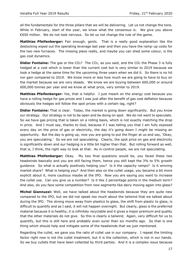all the fundamentals for the three pillars that we will be delivering. Let us not change the tone. While in February, start of the year, we know what the consensus is. We give you above €650 million. We do not look nervous. So let us not change the rule of the game.

**Matthias Pfeifenberger:** Fair enough, gents. That is a really good explanation like the destocking wiped out the operating leverage last year and then you have the ramp-up costs for the two new furnaces. The missing piece really, and maybe you can shed some colour, is the gas cost dynamics.

**Didier Fontaine:** The gas or the CO<sub>2</sub>? The CO<sub>2</sub>, as you said, and the CO<sub>2</sub> the Phase 3 is fully hedged at a cost which is lower than the current cost but is very similar to 2019 because we took a hedge at the same time for the upcoming three years when we did it. So there is no hit nor gain compared to 2019. We know more or less how much we are going to have to buy on the market because we are very steady. We know we are buying between 600,000 or around 600,000 tonnes per year and we know at what price, very similar to 2019.

**Matthias Pfeifenberger:** Yes, that is helpful. I just meant on the energy cost because you have a rolling hedge for gas prices and I was just after the benefit of gas cost deflation because obviously the hedges will follow the spot prices with a certain lag, right?

**Didier Fontaine:** That is clear. Today, the market is going down significantly. But you know our strategy. Our strategy is not to be open and be doing on spot. We do not want to speculate. So we have gas pricing that is taken on a rolling basis, which is not exactly matching the drop in price. And I must say, thanks to God, because if I was telling you that I am fully exposed every day on the price of gas or electricity, the day it's going down I might be missing an opportunity. But the day is going up, now you are going to put the finger at us and say, 'Okay, you are speculating.' So we are not speculating. Clearly, the spot price on gas and electricity is significantly down and our hedging is a little bit higher than that. But rolling forward as well, that is, I think, the right way to look at that. As in-control people, we are not speculating.

**Matthias Pfeifenberger:** Okay. My two final questions would be, you faced these two headwinds basically and you are still facing them, hence you still kept the 3% to 5% growth guidance. So what is actually positively helping you? Is it the capacity ramps? Is it winning market share? What is helping you? And then also on the cullet usage, you became a bit more explicit about it, more cautious maybe at the IPO. Now you are saying you want to increase the cullet use. Can you give us a number? Is it like 2 percentage points in the medium term? And also, do you face some competition from new segments like dairy moving again into glass?

**Michel Giannuzzi:** Well, we have talked about the headwinds because they are quite new compared to the IPO, but we did not speak too much about the tailwind that we talked about during the IPO. The strong move away from plastics to glass, the shift from plastic to glass, is difficult to quantify and as I said, it will not happen overnight. But clearly, glass is the preferred material because it is healthy, it is infinitely recyclable and it gives a major premium and quality that the other materials do not give. So this is clearly a tailwind. Again, very difficult for us to quantify, but this is still here and probably even surer than six months ago. So that is one thing which should help and mitigate some of the headwinds that we just mentioned.

Regarding the cullet, we gave you the ratio of cullet use in our company. I repeat the limiting factor right now is not the cullet treatment, but it is the collection, which is not in our hands. So we buy cullets that have been collected by third parties. And it is a complex issue because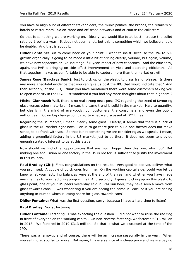you have to align a lot of different stakeholders, the municipalities, the brands, the retailers or hotels or restaurants. So on-trade and off-trade networks and of course the collectors.

So that is something we are working on. Ideally, we would like to at least increase the cullet ratio by 1 point a year. It does not seem a lot, but this is something which we believe should be doable. And that is about it.

**Didier Fontaine:** But to come back on your point, I want to insist, because the 3% to 5% growth organically is going to be made a little bit of pricing clearly, volume, but again, volume, we have new capacities or like Jacutinga, full year impact of new capacities. And the efficiency, again, the PAP is bringing on side-effect improvement on yield and operating efficiency. All that together makes us comfortable to be able to capture more than the market growth.

**James Rose (Barclays Bank):** Just to pick up on the plastic to glass trend, please. Is there any more anecdotal evidence that you can give us post the IPO that would indicate that? And then secondly, at the IPO, I think you have mentioned there were some customers asking you to open capacity in the US. Just wondered if you had any more thoughts about that in general?

**Michel Giannuzzi:** Well, there is no real strong news post-IPO regarding the trend of favouring glass versus other materials. I mean, the same trend is solid in the market. Hard to quantify, but clearly in the mind of everybody, our customers, the consumers and even the public authorities. But no big change compared to what we discussed at IPO times.

Regarding the US market, I mean, clearly some glass. Clearly, it seems that there is a lack of glass in the US market right now. For us to go there just to build one factory does not make sense, to be frank with you. So that is not something we are considering as we speak. I mean, adding a greenfield factory in the US market, just to be there, it does not seem to provide enough strategic interest to us at this stage.

Now should we find other opportunities that are much bigger than this one, why not? But making one acquisition or one factory in the US is not for us sufficient to justify the investment in this country.

**Paul Bradley (Citi):** First, congratulations on the results. Very good to see you deliver what you promised. A couple of quick ones from me. On the working capital side, could you let us know what your factoring balances were at the end of the year and whether you have made any changes to your factoring programme? And secondly, I guess, picking up on this plastic to glass point, one of your US peers yesterday said in Brazilian beer, they have seen a move from glass towards cans. I was wondering if you are seeing the same in Brazil or if you are seeing anything in Europe which is losing share for glass towards cans?

**Didier Fontaine:** What was the first question, sorry, because I have a hard time to listen?

**Paul Bradley:** Sorry, factoring.

**Didier Fontaine:** Factoring. I was expecting the question. I did not want to raise the red flag in front of everyone on the working capital. On non-reverse factoring, we factored €315 million in 2018. We factored in 2019 €313 million. So that is what we discussed at the time of the IPO.

There was a ramp-up and of course, there will be an increase seasonally in the year. When you sell more, you factor more. But again, this is a service at a cheap price and we are paying